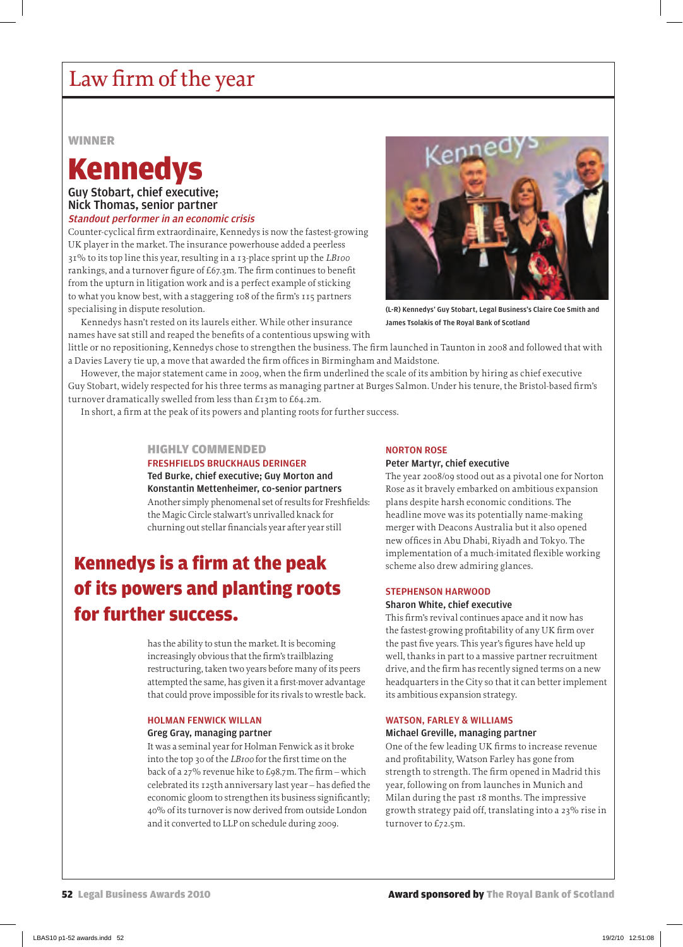## Law firm of the year

#### **WINNER**

# Kennedys

Guy Stobart, chief executive; Nick Thomas, senior partner Standout performer in an economic crisis

Counter-cyclical firm extraordinaire, Kennedys is now the fastest-growing UK player in the market. The insurance powerhouse added a peerless 31% to its top line this year, resulting in a 13-place sprint up the *LB100* rankings, and a turnover figure of £67.3m. The firm continues to benefit from the upturn in litigation work and is a perfect example of sticking to what you know best, with a staggering 108 of the firm's 115 partners specialising in dispute resolution.

Kennedys hasn't rested on its laurels either. While other insurance names have sat still and reaped the benefits of a contentious upswing with



(L-R) Kennedys' Guy Stobart, Legal Business's Claire Coe Smith and James Tsolakis of The Royal Bank of Scotland

little or no repositioning, Kennedys chose to strengthen the business. The firm launched in Taunton in 2008 and followed that with a Davies Lavery tie up, a move that awarded the firm offices in Birmingham and Maidstone.

However, the major statement came in 2009, when the firm underlined the scale of its ambition by hiring as chief executive Guy Stobart, widely respected for his three terms as managing partner at Burges Salmon. Under his tenure, the Bristol-based firm's turnover dramatically swelled from less than £13m to £64.2m.

In short, a firm at the peak of its powers and planting roots for further success.

### highly commended

#### FRESHFIELDS BRUCKHAUS DERINGER Ted Burke, chief executive; Guy Morton and

Konstantin Mettenheimer, co-senior partners Another simply phenomenal set of results for Freshfields: the Magic Circle stalwart's unrivalled knack for churning out stellar financials year after year still

## Kennedys is a firm at the peak of its powers and planting roots for further success.

has the ability to stun the market. It is becoming increasingly obvious that the firm's trailblazing restructuring, taken two years before many of its peers attempted the same, has given it a first-mover advantage that could prove impossible for its rivals to wrestle back.

#### HOLMAN FENWICK WILLAN

#### Greg Gray, managing partner

It was a seminal year for Holman Fenwick as it broke into the top 30 of the *LB100* for the first time on the back of a 27% revenue hike to £98.7m. The firm – which celebrated its 125th anniversary last year – has defied the economic gloom to strengthen its business significantly; 40% of its turnover is now derived from outside London and it converted to LLP on schedule during 2009.

#### NORTON ROSE

#### Peter Martyr, chief executive

The year 2008/09 stood out as a pivotal one for Norton Rose as it bravely embarked on ambitious expansion plans despite harsh economic conditions. The headline move was its potentially name-making merger with Deacons Australia but it also opened new offices in Abu Dhabi, Riyadh and Tokyo. The implementation of a much-imitated flexible working scheme also drew admiring glances.

#### STEPHENSON HARWOOD

#### Sharon White, chief executive

This firm's revival continues apace and it now has the fastest-growing profitability of any UK firm over the past five years. This year's figures have held up well, thanks in part to a massive partner recruitment drive, and the firm has recently signed terms on a new headquarters in the City so that it can better implement its ambitious expansion strategy.

#### WATSON, FARLEY & WILLIAMS

#### Michael Greville, managing partner

One of the few leading UK firms to increase revenue and profitability, Watson Farley has gone from strength to strength. The firm opened in Madrid this year, following on from launches in Munich and Milan during the past 18 months. The impressive growth strategy paid off, translating into a 23% rise in turnover to £72.5m.